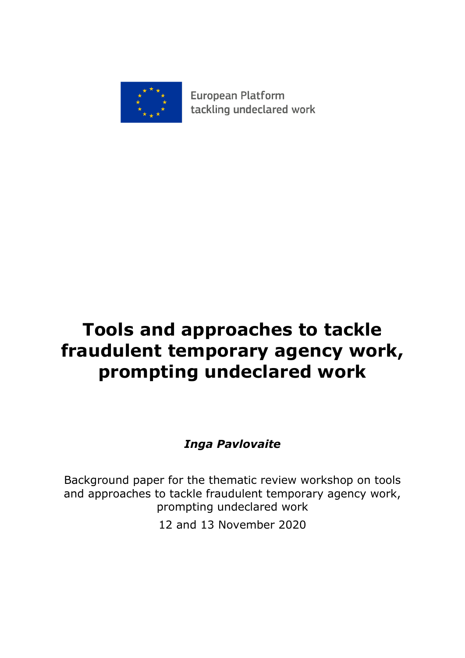

**European Platform** tackling undeclared work

# **Tools and approaches to tackle fraudulent temporary agency work, prompting undeclared work**

## *Inga Pavlovaite*

Background paper for the thematic review workshop on tools and approaches to tackle fraudulent temporary agency work, prompting undeclared work

12 and 13 November 2020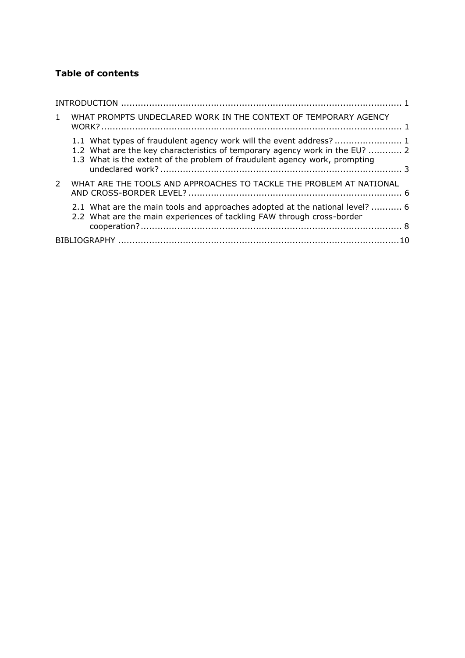## **Table of contents**

|               |  | WHAT PROMPTS UNDECLARED WORK IN THE CONTEXT OF TEMPORARY AGENCY                                                                                           |  |
|---------------|--|-----------------------------------------------------------------------------------------------------------------------------------------------------------|--|
|               |  | 1.2 What are the key characteristics of temporary agency work in the EU?  2<br>1.3 What is the extent of the problem of fraudulent agency work, prompting |  |
| $\mathcal{P}$ |  | WHAT ARE THE TOOLS AND APPROACHES TO TACKLE THE PROBLEM AT NATIONAL                                                                                       |  |
|               |  | 2.1 What are the main tools and approaches adopted at the national level?  6<br>2.2 What are the main experiences of tackling FAW through cross-border    |  |
|               |  |                                                                                                                                                           |  |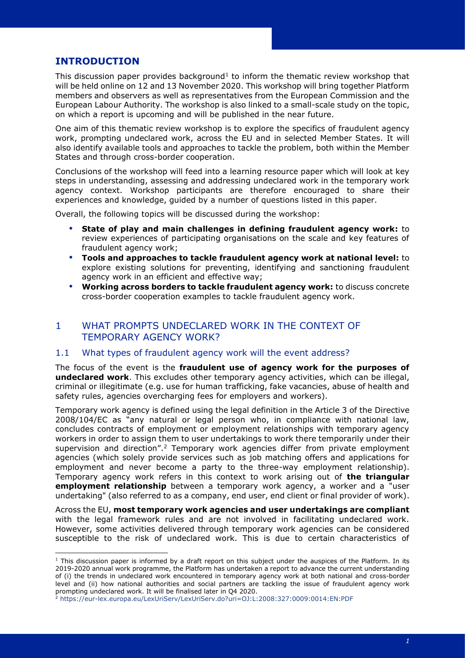## <span id="page-2-0"></span>**INTRODUCTION**

This discussion paper provides background<sup>1</sup> to inform the thematic review workshop that will be held online on 12 and 13 November 2020. This workshop will bring together Platform members and observers as well as representatives from the European Commission and the European Labour Authority. The workshop is also linked to a small-scale study on the topic, on which a report is upcoming and will be published in the near future.

One aim of this thematic review workshop is to explore the specifics of fraudulent agency work, prompting undeclared work, across the EU and in selected Member States. It will also identify available tools and approaches to tackle the problem, both within the Member States and through cross-border cooperation.

Conclusions of the workshop will feed into a learning resource paper which will look at key steps in understanding, assessing and addressing undeclared work in the temporary work agency context. Workshop participants are therefore encouraged to share their experiences and knowledge, guided by a number of questions listed in this paper.

Overall, the following topics will be discussed during the workshop:

- **State of play and main challenges in defining fraudulent agency work:** to review experiences of participating organisations on the scale and key features of fraudulent agency work;
- **Tools and approaches to tackle fraudulent agency work at national level:** to explore existing solutions for preventing, identifying and sanctioning fraudulent agency work in an efficient and effective way;
- **Working across borders to tackle fraudulent agency work:** to discuss concrete cross-border cooperation examples to tackle fraudulent agency work.

## <span id="page-2-1"></span>1 WHAT PROMPTS UNDECLARED WORK IN THE CONTEXT OF TEMPORARY AGENCY WORK?

#### <span id="page-2-2"></span>1.1 What types of fraudulent agency work will the event address?

The focus of the event is the **fraudulent use of agency work for the purposes of undeclared work**. This excludes other temporary agency activities, which can be illegal, criminal or illegitimate (e.g. use for human trafficking, fake vacancies, abuse of health and safety rules, agencies overcharging fees for employers and workers).

Temporary work agency is defined using the legal definition in the Article 3 of the Directive 2008/104/EC as "any natural or legal person who, in compliance with national law, concludes contracts of employment or employment relationships with temporary agency workers in order to assign them to user undertakings to work there temporarily under their supervision and direction".<sup>2</sup> Temporary work agencies differ from private employment agencies (which solely provide services such as job matching offers and applications for employment and never become a party to the three-way employment relationship). Temporary agency work refers in this context to work arising out of **the triangular employment relationship** between a temporary work agency, a worker and a "user undertaking" (also referred to as a company, end user, end client or final provider of work).

Across the EU, **most temporary work agencies and user undertakings are compliant** with the legal framework rules and are not involved in facilitating undeclared work. However, some activities delivered through temporary work agencies can be considered susceptible to the risk of undeclared work. This is due to certain characteristics of

 $1$  This discussion paper is informed by a draft report on this subject under the auspices of the Platform. In its 2019-2020 annual work programme, the Platform has undertaken a report to advance the current understanding of (i) the trends in undeclared work encountered in temporary agency work at both national and cross-border level and (ii) how national authorities and social partners are tackling the issue of fraudulent agency work prompting undeclared work. It will be finalised later in Q4 2020.

<sup>2</sup> <https://eur-lex.europa.eu/LexUriServ/LexUriServ.do?uri=OJ:L:2008:327:0009:0014:EN:PDF>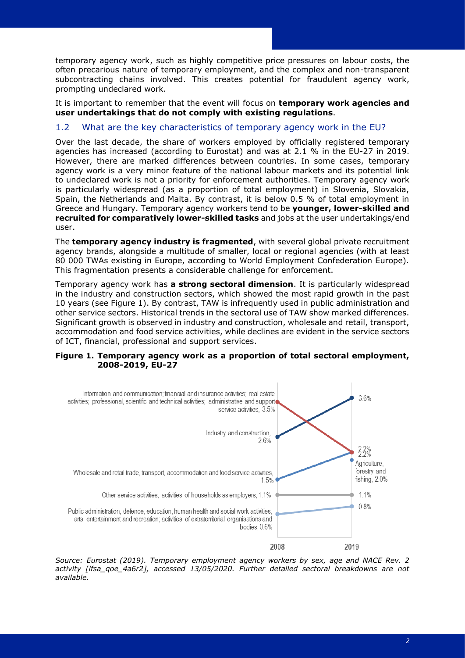temporary agency work, such as highly competitive price pressures on labour costs, the often precarious nature of temporary employment, and the complex and non-transparent subcontracting chains involved. This creates potential for fraudulent agency work, prompting undeclared work.

It is important to remember that the event will focus on **temporary work agencies and user undertakings that do not comply with existing regulations**.

#### <span id="page-3-0"></span>1.2 What are the key characteristics of temporary agency work in the EU?

Over the last decade, the share of workers employed by officially registered temporary agencies has increased (according to Eurostat) and was at 2.1 % in the EU-27 in 2019. However, there are marked differences between countries. In some cases, temporary agency work is a very minor feature of the national labour markets and its potential link to undeclared work is not a priority for enforcement authorities. Temporary agency work is particularly widespread (as a proportion of total employment) in Slovenia, Slovakia, Spain, the Netherlands and Malta. By contrast, it is below 0.5 % of total employment in Greece and Hungary. Temporary agency workers tend to be **younger, lower-skilled and recruited for comparatively lower-skilled tasks** and jobs at the user undertakings/end user.

The **temporary agency industry is fragmented**, with several global private recruitment agency brands, alongside a multitude of smaller, local or regional agencies (with at least 80 000 TWAs existing in Europe, according to World Employment Confederation Europe). This fragmentation presents a considerable challenge for enforcement.

Temporary agency work has **a strong sectoral dimension**. It is particularly widespread in the industry and construction sectors, which showed the most rapid growth in the past 10 years (see Figure 1). By contrast, TAW is infrequently used in public administration and other service sectors. Historical trends in the sectoral use of TAW show marked differences. Significant growth is observed in industry and construction, wholesale and retail, transport, accommodation and food service activities, while declines are evident in the service sectors of ICT, financial, professional and support services.

#### **Figure 1. Temporary agency work as a proportion of total sectoral employment, 2008-2019, EU-27**



*Source: Eurostat (2019). Temporary employment agency workers by sex, age and NACE Rev. 2 activity [lfsa\_qoe\_4a6r2], accessed 13/05/2020. Further detailed sectoral breakdowns are not available.*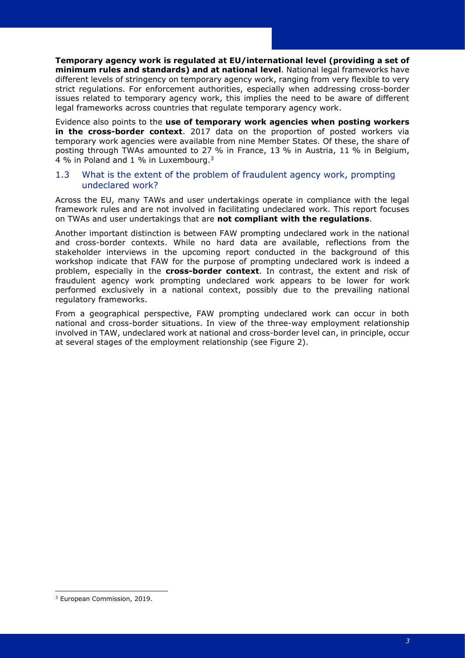**Temporary agency work is regulated at EU/international level (providing a set of minimum rules and standards) and at national level**. National legal frameworks have different levels of stringency on temporary agency work, ranging from very flexible to very strict regulations. For enforcement authorities, especially when addressing cross-border issues related to temporary agency work, this implies the need to be aware of different legal frameworks across countries that regulate temporary agency work.

Evidence also points to the **use of temporary work agencies when posting workers in the cross-border context**. 2017 data on the proportion of posted workers via temporary work agencies were available from nine Member States. Of these, the share of posting through TWAs amounted to 27 % in France, 13 % in Austria, 11 % in Belgium, 4 % in Poland and 1 % in Luxembourg.<sup>3</sup>

#### <span id="page-4-0"></span>1.3 What is the extent of the problem of fraudulent agency work, prompting undeclared work?

Across the EU, many TAWs and user undertakings operate in compliance with the legal framework rules and are not involved in facilitating undeclared work. This report focuses on TWAs and user undertakings that are **not compliant with the regulations**.

Another important distinction is between FAW prompting undeclared work in the national and cross-border contexts. While no hard data are available, reflections from the stakeholder interviews in the upcoming report conducted in the background of this workshop indicate that FAW for the purpose of prompting undeclared work is indeed a problem, especially in the **cross-border context**. In contrast, the extent and risk of fraudulent agency work prompting undeclared work appears to be lower for work performed exclusively in a national context, possibly due to the prevailing national regulatory frameworks.

From a geographical perspective, FAW prompting undeclared work can occur in both national and cross-border situations. In view of the three-way employment relationship involved in TAW, undeclared work at national and cross-border level can, in principle, occur at several stages of the employment relationship (see Figure 2).

<sup>3</sup> European Commission, 2019.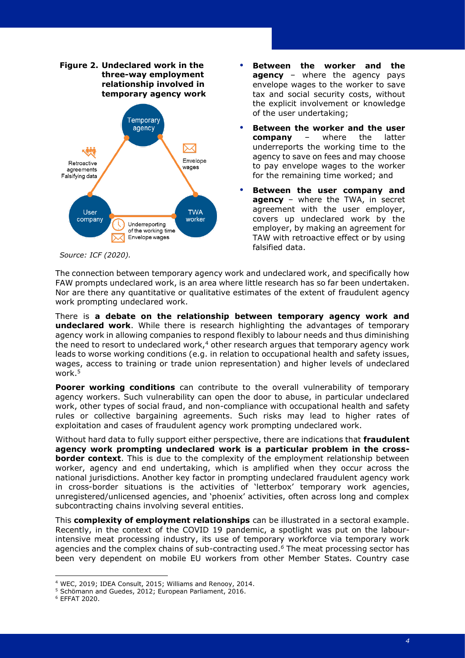

 **Between the worker and the agency** – where the agency pays envelope wages to the worker to save tax and social security costs, without the explicit involvement or knowledge of the user undertaking;

- **Between the worker and the user company** – where the latter underreports the working time to the agency to save on fees and may choose to pay envelope wages to the worker for the remaining time worked; and
- **•** Between the user company and **agency** – where the TWA, in secret agreement with the user employer, covers up undeclared work by the employer, by making an agreement for TAW with retroactive effect or by using falsified data.

*Source: ICF (2020).*

The connection between temporary agency work and undeclared work, and specifically how FAW prompts undeclared work, is an area where little research has so far been undertaken. Nor are there any quantitative or qualitative estimates of the extent of fraudulent agency work prompting undeclared work.

There is **a debate on the relationship between temporary agency work and undeclared work**. While there is research highlighting the advantages of temporary agency work in allowing companies to respond flexibly to labour needs and thus diminishing the need to resort to undeclared work,<sup>4</sup> other research argues that temporary agency work leads to worse working conditions (e.g. in relation to occupational health and safety issues, wages, access to training or trade union representation) and higher levels of undeclared work. 5

**Poorer working conditions** can contribute to the overall vulnerability of temporary agency workers. Such vulnerability can open the door to abuse, in particular undeclared work, other types of social fraud, and non-compliance with occupational health and safety rules or collective bargaining agreements. Such risks may lead to higher rates of exploitation and cases of fraudulent agency work prompting undeclared work.

Without hard data to fully support either perspective, there are indications that **fraudulent agency work prompting undeclared work is a particular problem in the crossborder context**. This is due to the complexity of the employment relationship between worker, agency and end undertaking, which is amplified when they occur across the national jurisdictions. Another key factor in prompting undeclared fraudulent agency work in cross-border situations is the activities of 'letterbox' temporary work agencies, unregistered/unlicensed agencies, and 'phoenix' activities, often across long and complex subcontracting chains involving several entities.

This **complexity of employment relationships** can be illustrated in a sectoral example. Recently, in the context of the COVID 19 pandemic, a spotlight was put on the labourintensive meat processing industry, its use of temporary workforce via temporary work agencies and the complex chains of sub-contracting used. *<sup>6</sup>* The meat processing sector has been very dependent on mobile EU workers from other Member States. Country case

<sup>4</sup> WEC, 2019; IDEA Consult, 2015; Williams and Renooy, 2014.

<sup>5</sup> Schömann and Guedes, 2012; European Parliament, 2016.

<sup>6</sup> EFFAT 2020.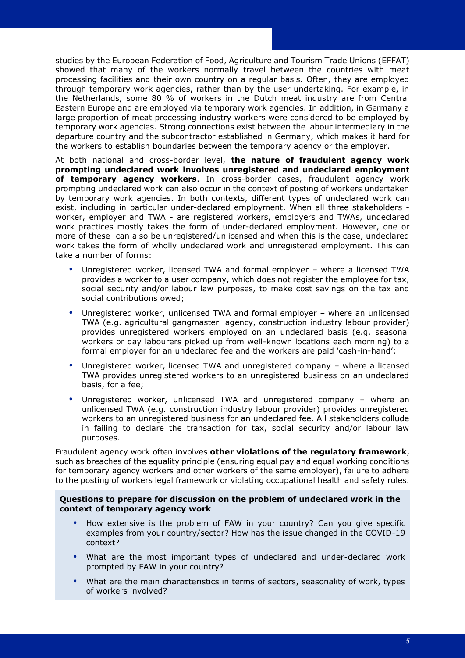studies by the European Federation of Food, Agriculture and Tourism Trade Unions (EFFAT) showed that many of the workers normally travel between the countries with meat processing facilities and their own country on a regular basis. Often, they are employed through temporary work agencies, rather than by the user undertaking. For example, in the Netherlands, some 80 % of workers in the Dutch meat industry are from Central Eastern Europe and are employed via temporary work agencies. In addition, in Germany a large proportion of meat processing industry workers were considered to be employed by temporary work agencies. Strong connections exist between the labour intermediary in the departure country and the subcontractor established in Germany, which makes it hard for the workers to establish boundaries between the temporary agency or the employer.

At both national and cross-border level, **the nature of fraudulent agency work prompting undeclared work involves unregistered and undeclared employment of temporary agency workers**. In cross-border cases, fraudulent agency work prompting undeclared work can also occur in the context of posting of workers undertaken by temporary work agencies. In both contexts, different types of undeclared work can exist, including in particular under-declared employment. When all three stakeholders worker, employer and TWA - are registered workers, employers and TWAs, undeclared work practices mostly takes the form of under-declared employment. However, one or more of these can also be unregistered/unlicensed and when this is the case, undeclared work takes the form of wholly undeclared work and unregistered employment. This can take a number of forms:

- Unregistered worker, licensed TWA and formal employer where a licensed TWA provides a worker to a user company, which does not register the employee for tax, social security and/or labour law purposes, to make cost savings on the tax and social contributions owed;
- Unregistered worker, unlicensed TWA and formal employer where an unlicensed TWA (e.g. agricultural gangmaster agency, construction industry labour provider) provides unregistered workers employed on an undeclared basis (e.g. seasonal workers or day labourers picked up from well-known locations each morning) to a formal employer for an undeclared fee and the workers are paid 'cash-in-hand';
- Unregistered worker, licensed TWA and unregistered company where a licensed TWA provides unregistered workers to an unregistered business on an undeclared basis, for a fee;
- Unregistered worker, unlicensed TWA and unregistered company where an unlicensed TWA (e.g. construction industry labour provider) provides unregistered workers to an unregistered business for an undeclared fee. All stakeholders collude in failing to declare the transaction for tax, social security and/or labour law purposes.

Fraudulent agency work often involves **other violations of the regulatory framework**, such as breaches of the equality principle (ensuring equal pay and equal working conditions for temporary agency workers and other workers of the same employer), failure to adhere to the posting of workers legal framework or violating occupational health and safety rules.

#### **Questions to prepare for discussion on the problem of undeclared work in the context of temporary agency work**

- How extensive is the problem of FAW in your country? Can you give specific examples from your country/sector? How has the issue changed in the COVID-19 context?
- What are the most important types of undeclared and under-declared work prompted by FAW in your country?
- What are the main characteristics in terms of sectors, seasonality of work, types of workers involved?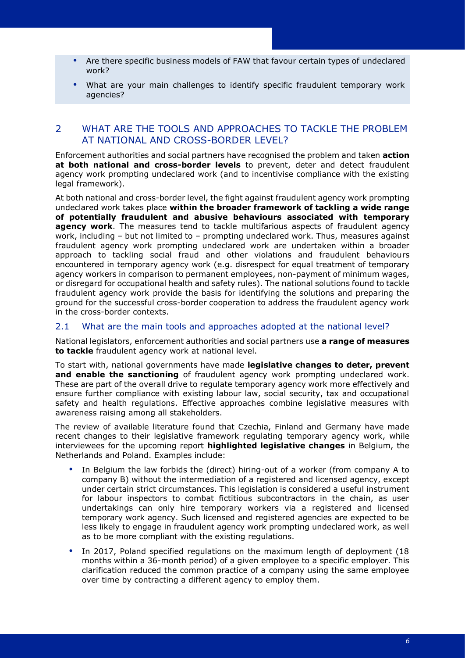- Are there specific business models of FAW that favour certain types of undeclared work?
- What are your main challenges to identify specific fraudulent temporary work agencies?

### <span id="page-7-0"></span>2 WHAT ARE THE TOOLS AND APPROACHES TO TACKLE THE PROBLEM AT NATIONAL AND CROSS-BORDER LEVEL?

Enforcement authorities and social partners have recognised the problem and taken **action at both national and cross-border levels** to prevent, deter and detect fraudulent agency work prompting undeclared work (and to incentivise compliance with the existing legal framework).

At both national and cross-border level, the fight against fraudulent agency work prompting undeclared work takes place **within the broader framework of tackling a wide range of potentially fraudulent and abusive behaviours associated with temporary agency work**. The measures tend to tackle multifarious aspects of fraudulent agency work, including  $-$  but not limited to  $-$  prompting undeclared work. Thus, measures against fraudulent agency work prompting undeclared work are undertaken within a broader approach to tackling social fraud and other violations and fraudulent behaviours encountered in temporary agency work (e.g. disrespect for equal treatment of temporary agency workers in comparison to permanent employees, non-payment of minimum wages, or disregard for occupational health and safety rules). The national solutions found to tackle fraudulent agency work provide the basis for identifying the solutions and preparing the ground for the successful cross-border cooperation to address the fraudulent agency work in the cross-border contexts.

#### <span id="page-7-1"></span>2.1 What are the main tools and approaches adopted at the national level?

National legislators, enforcement authorities and social partners use **a range of measures to tackle** fraudulent agency work at national level.

To start with, national governments have made **legislative changes to deter, prevent and enable the sanctioning** of fraudulent agency work prompting undeclared work. These are part of the overall drive to regulate temporary agency work more effectively and ensure further compliance with existing labour law, social security, tax and occupational safety and health regulations. Effective approaches combine legislative measures with awareness raising among all stakeholders.

The review of available literature found that Czechia, Finland and Germany have made recent changes to their legislative framework regulating temporary agency work, while interviewees for the upcoming report **highlighted legislative changes** in Belgium, the Netherlands and Poland. Examples include:

- In Belgium the law forbids the (direct) hiring-out of a worker (from company A to company B) without the intermediation of a registered and licensed agency, except under certain strict circumstances. This legislation is considered a useful instrument for labour inspectors to combat fictitious subcontractors in the chain, as user undertakings can only hire temporary workers via a registered and licensed temporary work agency. Such licensed and registered agencies are expected to be less likely to engage in fraudulent agency work prompting undeclared work, as well as to be more compliant with the existing regulations.
- In 2017, Poland specified regulations on the maximum length of deployment (18 months within a 36-month period) of a given employee to a specific employer. This clarification reduced the common practice of a company using the same employee over time by contracting a different agency to employ them.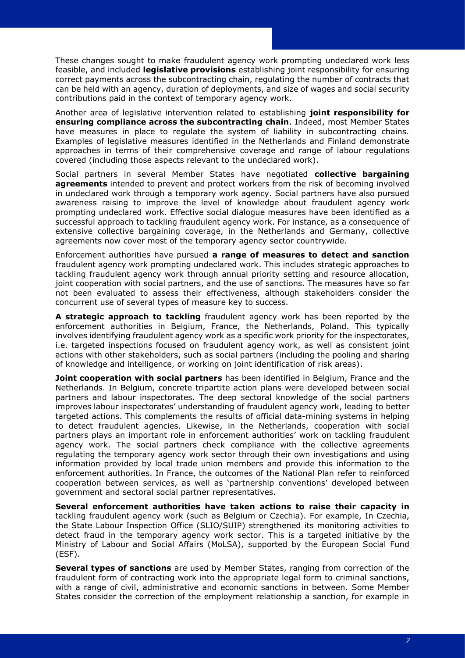These changes sought to make fraudulent agency work prompting undeclared work less feasible, and included **legislative provisions** establishing joint responsibility for ensuring correct payments across the subcontracting chain, regulating the number of contracts that can be held with an agency, duration of deployments, and size of wages and social security contributions paid in the context of temporary agency work.

Another area of legislative intervention related to establishing **joint responsibility for ensuring compliance across the subcontracting chain**. Indeed, most Member States have measures in place to regulate the system of liability in subcontracting chains. Examples of legislative measures identified in the Netherlands and Finland demonstrate approaches in terms of their comprehensive coverage and range of labour regulations covered (including those aspects relevant to the undeclared work).

Social partners in several Member States have negotiated **collective bargaining agreements** intended to prevent and protect workers from the risk of becoming involved in undeclared work through a temporary work agency. Social partners have also pursued awareness raising to improve the level of knowledge about fraudulent agency work prompting undeclared work. Effective social dialogue measures have been identified as a successful approach to tackling fraudulent agency work. For instance, as a consequence of extensive collective bargaining coverage, in the Netherlands and Germany, collective agreements now cover most of the temporary agency sector countrywide.

Enforcement authorities have pursued **a range of measures to detect and sanction**  fraudulent agency work prompting undeclared work. This includes strategic approaches to tackling fraudulent agency work through annual priority setting and resource allocation, joint cooperation with social partners, and the use of sanctions. The measures have so far not been evaluated to assess their effectiveness, although stakeholders consider the concurrent use of several types of measure key to success.

**A strategic approach to tackling** fraudulent agency work has been reported by the enforcement authorities in Belgium, France, the Netherlands, Poland. This typically involves identifying fraudulent agency work as a specific work priority for the inspectorates, i.e. targeted inspections focused on fraudulent agency work, as well as consistent joint actions with other stakeholders, such as social partners (including the pooling and sharing of knowledge and intelligence, or working on joint identification of risk areas).

**Joint cooperation with social partners** has been identified in Belgium, France and the Netherlands. In Belgium, concrete tripartite action plans were developed between social partners and labour inspectorates. The deep sectoral knowledge of the social partners improves labour inspectorates' understanding of fraudulent agency work, leading to better targeted actions. This complements the results of official data-mining systems in helping to detect fraudulent agencies. Likewise, in the Netherlands, cooperation with social partners plays an important role in enforcement authorities' work on tackling fraudulent agency work. The social partners check compliance with the collective agreements regulating the temporary agency work sector through their own investigations and using information provided by local trade union members and provide this information to the enforcement authorities. In France, the outcomes of the National Plan refer to reinforced cooperation between services, as well as 'partnership conventions' developed between government and sectoral social partner representatives.

**Several enforcement authorities have taken actions to raise their capacity in**  tackling fraudulent agency work (such as Belgium or Czechia). For example, In Czechia, the State Labour Inspection Office (SLIO/SUIP) strengthened its monitoring activities to detect fraud in the temporary agency work sector. This is a targeted initiative by the Ministry of Labour and Social Affairs (MoLSA), supported by the European Social Fund (ESF).

**Several types of sanctions** are used by Member States, ranging from correction of the fraudulent form of contracting work into the appropriate legal form to criminal sanctions, with a range of civil, administrative and economic sanctions in between. Some Member States consider the correction of the employment relationship a sanction, for example in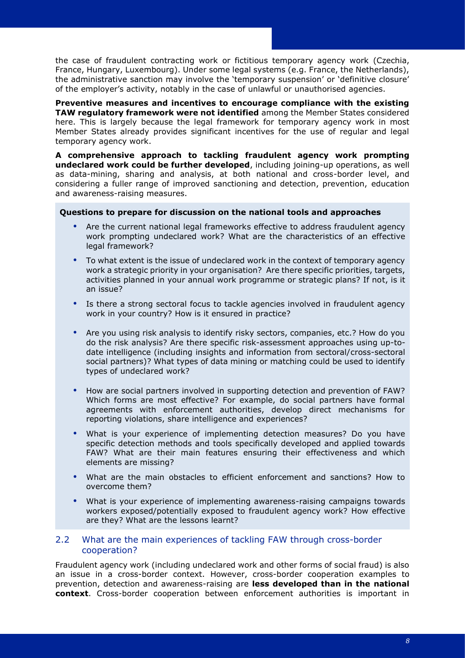the case of fraudulent contracting work or fictitious temporary agency work (Czechia, France, Hungary, Luxembourg). Under some legal systems (e.g. France, the Netherlands), the administrative sanction may involve the 'temporary suspension' or 'definitive closure' of the employer's activity, notably in the case of unlawful or unauthorised agencies.

**Preventive measures and incentives to encourage compliance with the existing TAW regulatory framework were not identified** among the Member States considered here. This is largely because the legal framework for temporary agency work in most Member States already provides significant incentives for the use of regular and legal temporary agency work.

**A comprehensive approach to tackling fraudulent agency work prompting undeclared work could be further developed**, including joining-up operations, as well as data-mining, sharing and analysis, at both national and cross-border level, and considering a fuller range of improved sanctioning and detection, prevention, education and awareness-raising measures.

#### **Questions to prepare for discussion on the national tools and approaches**

- Are the current national legal frameworks effective to address fraudulent agency work prompting undeclared work? What are the characteristics of an effective legal framework?
- To what extent is the issue of undeclared work in the context of temporary agency work a strategic priority in your organisation? Are there specific priorities, targets, activities planned in your annual work programme or strategic plans? If not, is it an issue?
- Is there a strong sectoral focus to tackle agencies involved in fraudulent agency work in your country? How is it ensured in practice?
- Are you using risk analysis to identify risky sectors, companies, etc.? How do you do the risk analysis? Are there specific risk-assessment approaches using up-todate intelligence (including insights and information from sectoral/cross-sectoral social partners)? What types of data mining or matching could be used to identify types of undeclared work?
- How are social partners involved in supporting detection and prevention of FAW? Which forms are most effective? For example, do social partners have formal agreements with enforcement authorities, develop direct mechanisms for reporting violations, share intelligence and experiences?
- What is your experience of implementing detection measures? Do you have specific detection methods and tools specifically developed and applied towards FAW? What are their main features ensuring their effectiveness and which elements are missing?
- What are the main obstacles to efficient enforcement and sanctions? How to overcome them?
- What is your experience of implementing awareness-raising campaigns towards workers exposed/potentially exposed to fraudulent agency work? How effective are they? What are the lessons learnt?

#### <span id="page-9-0"></span>2.2 What are the main experiences of tackling FAW through cross-border cooperation?

Fraudulent agency work (including undeclared work and other forms of social fraud) is also an issue in a cross-border context. However, cross-border cooperation examples to prevention, detection and awareness-raising are **less developed than in the national context**. Cross-border cooperation between enforcement authorities is important in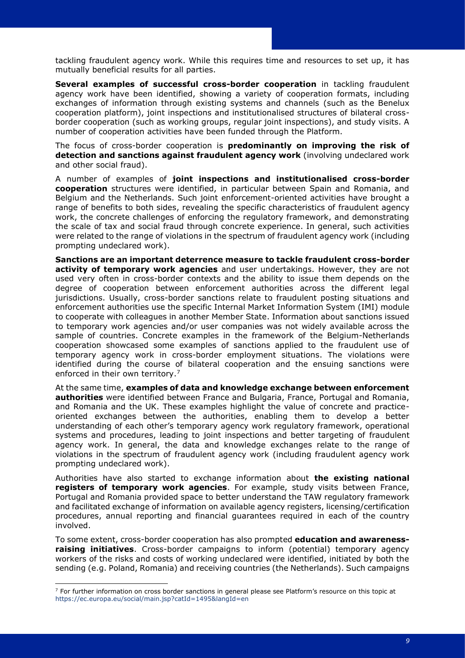tackling fraudulent agency work. While this requires time and resources to set up, it has mutually beneficial results for all parties.

**Several examples of successful cross-border cooperation** in tackling fraudulent agency work have been identified, showing a variety of cooperation formats, including exchanges of information through existing systems and channels (such as the Benelux cooperation platform), joint inspections and institutionalised structures of bilateral crossborder cooperation (such as working groups, regular joint inspections), and study visits. A number of cooperation activities have been funded through the Platform.

The focus of cross-border cooperation is **predominantly on improving the risk of detection and sanctions against fraudulent agency work** (involving undeclared work and other social fraud).

A number of examples of **joint inspections and institutionalised cross-border cooperation** structures were identified, in particular between Spain and Romania, and Belgium and the Netherlands. Such joint enforcement-oriented activities have brought a range of benefits to both sides, revealing the specific characteristics of fraudulent agency work, the concrete challenges of enforcing the regulatory framework, and demonstrating the scale of tax and social fraud through concrete experience. In general, such activities were related to the range of violations in the spectrum of fraudulent agency work (including prompting undeclared work).

**Sanctions are an important deterrence measure to tackle fraudulent cross-border activity of temporary work agencies** and user undertakings. However, they are not used very often in cross-border contexts and the ability to issue them depends on the degree of cooperation between enforcement authorities across the different legal jurisdictions. Usually, cross-border sanctions relate to fraudulent posting situations and enforcement authorities use the specific Internal Market Information System (IMI) module to cooperate with colleagues in another Member State. Information about sanctions issued to temporary work agencies and/or user companies was not widely available across the sample of countries. Concrete examples in the framework of the Belgium-Netherlands cooperation showcased some examples of sanctions applied to the fraudulent use of temporary agency work in cross-border employment situations. The violations were identified during the course of bilateral cooperation and the ensuing sanctions were enforced in their own territory.<sup>7</sup>

At the same time, **examples of data and knowledge exchange between enforcement authorities** were identified between France and Bulgaria, France, Portugal and Romania, and Romania and the UK. These examples highlight the value of concrete and practiceoriented exchanges between the authorities, enabling them to develop a better understanding of each other's temporary agency work regulatory framework, operational systems and procedures, leading to joint inspections and better targeting of fraudulent agency work. In general, the data and knowledge exchanges relate to the range of violations in the spectrum of fraudulent agency work (including fraudulent agency work prompting undeclared work).

Authorities have also started to exchange information about **the existing national registers of temporary work agencies**. For example, study visits between France, Portugal and Romania provided space to better understand the TAW regulatory framework and facilitated exchange of information on available agency registers, licensing/certification procedures, annual reporting and financial guarantees required in each of the country involved.

To some extent, cross-border cooperation has also prompted **education and awarenessraising initiatives**. Cross-border campaigns to inform (potential) temporary agency workers of the risks and costs of working undeclared were identified, initiated by both the sending (e.g. Poland, Romania) and receiving countries (the Netherlands). Such campaigns

 $7$  For further information on cross border sanctions in general please see Platform's resource on this topic at <https://ec.europa.eu/social/main.jsp?catId=1495&langId=en>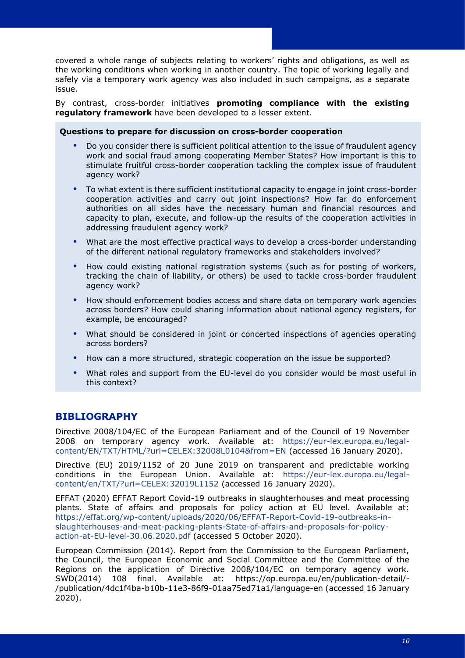covered a whole range of subjects relating to workers' rights and obligations, as well as the working conditions when working in another country. The topic of working legally and safely via a temporary work agency was also included in such campaigns, as a separate issue.

By contrast, cross-border initiatives **promoting compliance with the existing regulatory framework** have been developed to a lesser extent.

#### **Questions to prepare for discussion on cross-border cooperation**

- Do you consider there is sufficient political attention to the issue of fraudulent agency work and social fraud among cooperating Member States? How important is this to stimulate fruitful cross-border cooperation tackling the complex issue of fraudulent agency work?
- To what extent is there sufficient institutional capacity to engage in joint cross-border cooperation activities and carry out joint inspections? How far do enforcement authorities on all sides have the necessary human and financial resources and capacity to plan, execute, and follow-up the results of the cooperation activities in addressing fraudulent agency work?
- What are the most effective practical ways to develop a cross-border understanding of the different national regulatory frameworks and stakeholders involved?
- How could existing national registration systems (such as for posting of workers, tracking the chain of liability, or others) be used to tackle cross-border fraudulent agency work?
- How should enforcement bodies access and share data on temporary work agencies across borders? How could sharing information about national agency registers, for example, be encouraged?
- What should be considered in joint or concerted inspections of agencies operating across borders?
- How can a more structured, strategic cooperation on the issue be supported?
- What roles and support from the EU-level do you consider would be most useful in this context?

## <span id="page-11-0"></span>**BIBLIOGRAPHY**

Directive 2008/104/EC of the European Parliament and of the Council of 19 November 2008 on temporary agency work. Available at: [https://eur-lex.europa.eu/legal](https://eur-lex.europa.eu/legal-content/EN/TXT/HTML/?uri=CELEX:32008L0104&from=EN)[content/EN/TXT/HTML/?uri=CELEX:32008L0104&from=EN](https://eur-lex.europa.eu/legal-content/EN/TXT/HTML/?uri=CELEX:32008L0104&from=EN) (accessed 16 January 2020).

Directive (EU) 2019/1152 of 20 June 2019 on transparent and predictable working conditions in the European Union. Available at: [https://eur-lex.europa.eu/legal](https://eur-lex.europa.eu/legal-content/en/TXT/?uri=CELEX:32019L1152)[content/en/TXT/?uri=CELEX:32019L1152](https://eur-lex.europa.eu/legal-content/en/TXT/?uri=CELEX:32019L1152) (accessed 16 January 2020).

EFFAT (2020) EFFAT Report Covid-19 outbreaks in slaughterhouses and meat processing plants. State of affairs and proposals for policy action at EU level*.* Available at: [https://effat.org/wp-content/uploads/2020/06/EFFAT-Report-Covid-19-outbreaks-in](https://effat.org/wp-content/uploads/2020/06/EFFAT-Report-Covid-19-outbreaks-in-slaughterhouses-and-meat-packing-plants-State-of-affairs-and-proposals-for-policy-action-at-EU-level-30.06.2020.pdf)[slaughterhouses-and-meat-packing-plants-State-of-affairs-and-proposals-for-policy](https://effat.org/wp-content/uploads/2020/06/EFFAT-Report-Covid-19-outbreaks-in-slaughterhouses-and-meat-packing-plants-State-of-affairs-and-proposals-for-policy-action-at-EU-level-30.06.2020.pdf)[action-at-EU-level-30.06.2020.pdf](https://effat.org/wp-content/uploads/2020/06/EFFAT-Report-Covid-19-outbreaks-in-slaughterhouses-and-meat-packing-plants-State-of-affairs-and-proposals-for-policy-action-at-EU-level-30.06.2020.pdf) (accessed 5 October 2020).

European Commission (2014). Report from the Commission to the European Parliament, the Council, the European Economic and Social Committee and the Committee of the Regions on the application of Directive 2008/104/EC on temporary agency work. SWD(2014) 108 final. Available at: https://op.europa.eu/en/publication-detail/- /publication/4dc1f4ba-b10b-11e3-86f9-01aa75ed71a1/language-en (accessed 16 January 2020).